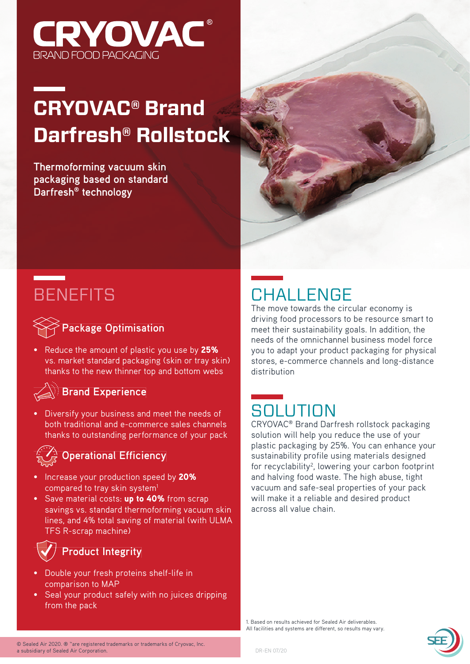

# **CRYOVAC® Brand Darfresh® Rollstock**

**Thermoforming vacuum skin packaging based on standard Darfresh® technology**



# **BENEFITS**



• Reduce the amount of plastic you use by 25% vs. market standard packaging (skin or tray skin) thanks to the new thinner top and bottom webs

#### **Brand Experience**

Diversify your business and meet the needs of both traditional and e-commerce sales channels thanks to outstanding performance of your pack

#### **Operational Efficiency**

- **Increase your production speed by 20%** compared to tray skin system<sup>1</sup>
- Save material costs: up to 40% from scrap savings vs. standard thermoforming vacuum skin lines, and 4% total saving of material (with ULMA TFS R-scrap machine)

### **Product Integrity**

- Double your fresh proteins shelf-life in comparison to MAP
- Seal your product safely with no juices dripping from the pack

### **CHALLENGE**

The move towards the circular economy is driving food processors to be resource smart to meet their sustainability goals. In addition, the needs of the omnichannel business model force you to adapt your product packaging for physical stores, e-commerce channels and long-distance distribution

# **SOLUTION**

CRYOVAC® Brand Darfresh rollstock packaging solution will help you reduce the use of your plastic packaging by 25%. You can enhance your sustainability profile using materials designed for recyclability<sup>2</sup>, lowering your carbon footprint and halving food waste. The high abuse, tight vacuum and safe-seal properties of your pack will make it a reliable and desired product across all value chain.

1. Based on results achieved for Sealed Air deliverables. All facilities and systems are different, so results may vary.